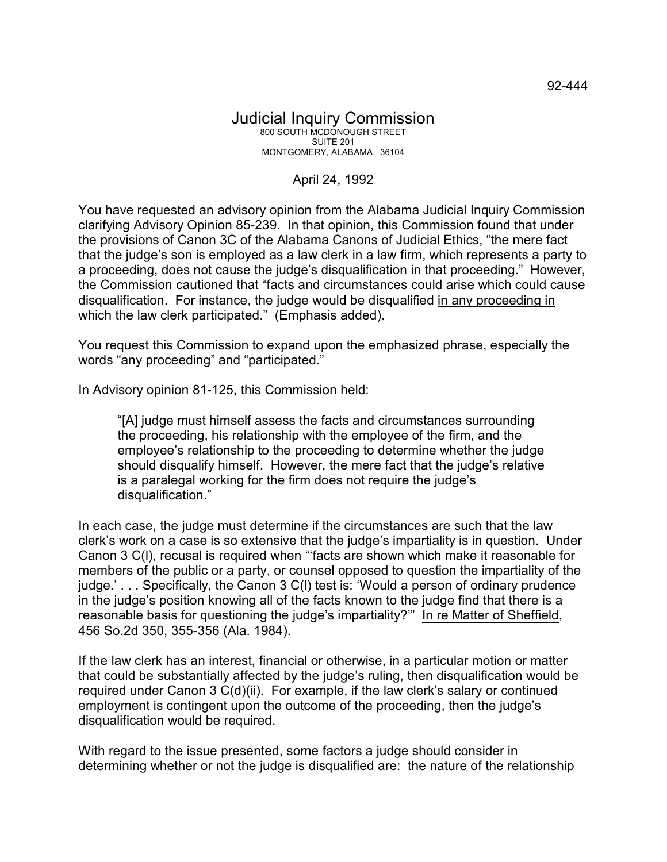## Judicial Inquiry Commission 800 SOUTH MCDONOUGH STREET SUITE 201 MONTGOMERY, ALABAMA 36104

## April 24, 1992

You have requested an advisory opinion from the Alabama Judicial Inquiry Commission clarifying Advisory Opinion 85-239. In that opinion, this Commission found that under the provisions of Canon 3C of the Alabama Canons of Judicial Ethics, "the mere fact that the judge's son is employed as a law clerk in a law firm, which represents a party to a proceeding, does not cause the judge's disqualification in that proceeding." However, the Commission cautioned that "facts and circumstances could arise which could cause disqualification. For instance, the judge would be disqualified in any proceeding in which the law clerk participated." (Emphasis added).

You request this Commission to expand upon the emphasized phrase, especially the words "any proceeding" and "participated."

In Advisory opinion 81-125, this Commission held:

"[A] judge must himself assess the facts and circumstances surrounding the proceeding, his relationship with the employee of the firm, and the employee's relationship to the proceeding to determine whether the judge should disqualify himself. However, the mere fact that the judge's relative is a paralegal working for the firm does not require the judge's disqualification."

In each case, the judge must determine if the circumstances are such that the law clerk's work on a case is so extensive that the judge's impartiality is in question. Under Canon 3 C(l), recusal is required when "'facts are shown which make it reasonable for members of the public or a party, or counsel opposed to question the impartiality of the judge.' . . . Specifically, the Canon 3 C(l) test is: 'Would a person of ordinary prudence in the judge's position knowing all of the facts known to the judge find that there is a reasonable basis for questioning the judge's impartiality?'" In re Matter of Sheffield, 456 So.2d 350, 355-356 (Ala. 1984).

If the law clerk has an interest, financial or otherwise, in a particular motion or matter that could be substantially affected by the judge's ruling, then disqualification would be required under Canon 3 C(d)(ii). For example, if the law clerk's salary or continued employment is contingent upon the outcome of the proceeding, then the judge's disqualification would be required.

With regard to the issue presented, some factors a judge should consider in determining whether or not the judge is disqualified are: the nature of the relationship